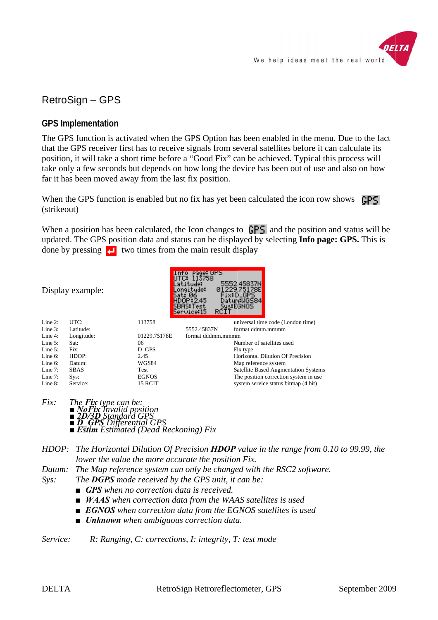

# RetroSign - GPS

# **GPS Implementation**

The GPS function is activated when the GPS Option has been enabled in the menu. Due to the fact that the GPS receiver first has to receive signals from several satellites before it can calculate its position, it will take a short time before a "Good Fix" can be achieved. Typical this process will take only a few seconds but depends on how long the device has been out of use and also on how far it has been moved away from the last fix position.

When the GPS function is enabled but no fix has yet been calculated the icon row shows GPS. (strikeout)

When a position has been calculated, the Icon changes to  $\Gamma$   $\Gamma$  and the position and status will be updated. The GPS position data and status can be displayed by selecting **Info page: GPS.** This is done by pressing  $\Box$  two times from the main result display

Display example:

|            |             |              | <b>PDHD:1620</b><br>Service:15<br>RCIT | 34S EGNUS                               |
|------------|-------------|--------------|----------------------------------------|-----------------------------------------|
| Line $2$ : | UTC:        | 113758       |                                        | universal time code (London time)       |
| Line $3$ : | Latitude:   |              | 5552.45837N                            | format ddmm.mmmm                        |
| Line $4$ : | Longitude:  | 01229.75178E | format dddmm.mmmm                      |                                         |
| Line $5$ : | Sat:        | 06           |                                        | Number of satellites used               |
| Line $5$ : | Fix:        | D GPS        |                                        | Fix type                                |
| Line $6$ : | HDOP:       | 2.45         |                                        | <b>Horizontal Dilution Of Precision</b> |
| Line $6$ : | Datum:      | WGS84        |                                        | Map reference system                    |
| Line $7:$  | <b>SBAS</b> | Test         |                                        | Satellite Based Augmentation Systems    |
| Line $7:$  | $SVS$ :     | <b>EGNOS</b> |                                        | The position correction system in use.  |
| Line $8$ : | Service:    | 15 RCIT      |                                        | system service status bitmap (4 bit)    |

 $Fix:$ The **Fix** type can be: *oFix Tnvalid position* Standard GF **BERGER Standard OFS**<br>**BERGER Differential GPS**<br>**BERGER Stimated (Dead Reckoning) Fix** 

HDOP: The Horizontal Dilution Of Precision  $HDOP$  value in the range from 0.10 to 99.99, the lower the value the more accurate the position Fix.

The Map reference system can only be changed with the RSC2 software. Datum:

- The **DGPS** mode received by the GPS unit, it can be:
	- **GPS** when no correction data is received.
	- $\blacksquare$  WAAS when correction data from the WAAS satellites is used
	- $\blacksquare$  **EGNOS** when correction data from the EGNOS satellites is used
	- $\blacksquare$  Unknown when ambiguous correction data.

Service: R: Ranging, C: corrections, I: integrity, T: test mode

 $S<sub>VS</sub>$ :